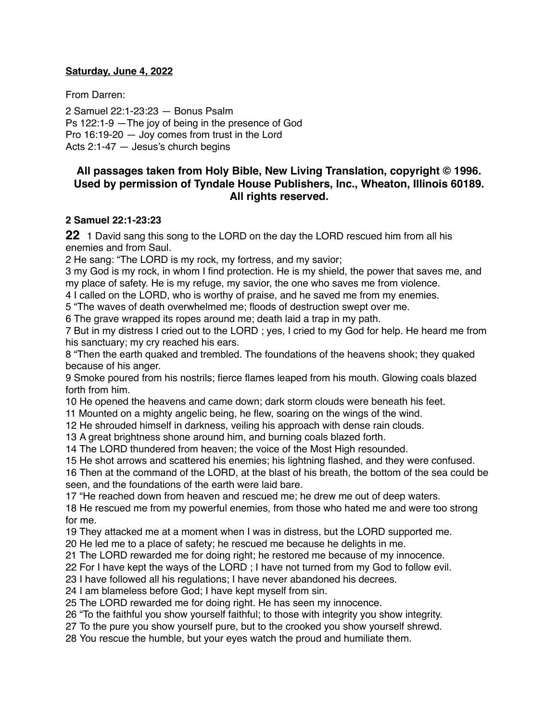### **Saturday, June 4, 2022**

From Darren:

2 Samuel 22:1-23:23 — Bonus Psalm Ps 122:1-9 —The joy of being in the presence of God Pro 16:19-20 — Joy comes from trust in the Lord Acts 2:1-47 — Jesus's church begins

# **All passages taken from Holy Bible, [New Living Translation](http://www.newlivingtranslation.com/), copyright © 1996. Used by permission of [Tyndale House Publishers](http://tyndale.com/), Inc., Wheaton, Illinois 60189. All rights reserved.**

### **2 Samuel 22:1-23:23**

1 David sang this song to the LORD on the day the LORD rescued him from all his enemies and from Saul.

He sang: "The LORD is my rock, my fortress, and my savior;

 my God is my rock, in whom I find protection. He is my shield, the power that saves me, and my place of safety. He is my refuge, my savior, the one who saves me from violence.

I called on the LORD, who is worthy of praise, and he saved me from my enemies.

"The waves of death overwhelmed me; floods of destruction swept over me.

The grave wrapped its ropes around me; death laid a trap in my path.

 But in my distress I cried out to the LORD ; yes, I cried to my God for help. He heard me from his sanctuary; my cry reached his ears.

 "Then the earth quaked and trembled. The foundations of the heavens shook; they quaked because of his anger.

 Smoke poured from his nostrils; fierce flames leaped from his mouth. Glowing coals blazed forth from him.

He opened the heavens and came down; dark storm clouds were beneath his feet.

Mounted on a mighty angelic being, he flew, soaring on the wings of the wind.

He shrouded himself in darkness, veiling his approach with dense rain clouds.

A great brightness shone around him, and burning coals blazed forth.

The LORD thundered from heaven; the voice of the Most High resounded.

 He shot arrows and scattered his enemies; his lightning flashed, and they were confused. Then at the command of the LORD, at the blast of his breath, the bottom of the sea could be seen, and the foundations of the earth were laid bare.

"He reached down from heaven and rescued me; he drew me out of deep waters.

 He rescued me from my powerful enemies, from those who hated me and were too strong for me.

They attacked me at a moment when I was in distress, but the LORD supported me.

He led me to a place of safety; he rescued me because he delights in me.

The LORD rewarded me for doing right; he restored me because of my innocence.

For I have kept the ways of the LORD ; I have not turned from my God to follow evil.

I have followed all his regulations; I have never abandoned his decrees.

I am blameless before God; I have kept myself from sin.

The LORD rewarded me for doing right. He has seen my innocence.

"To the faithful you show yourself faithful; to those with integrity you show integrity.

To the pure you show yourself pure, but to the crooked you show yourself shrewd.

You rescue the humble, but your eyes watch the proud and humiliate them.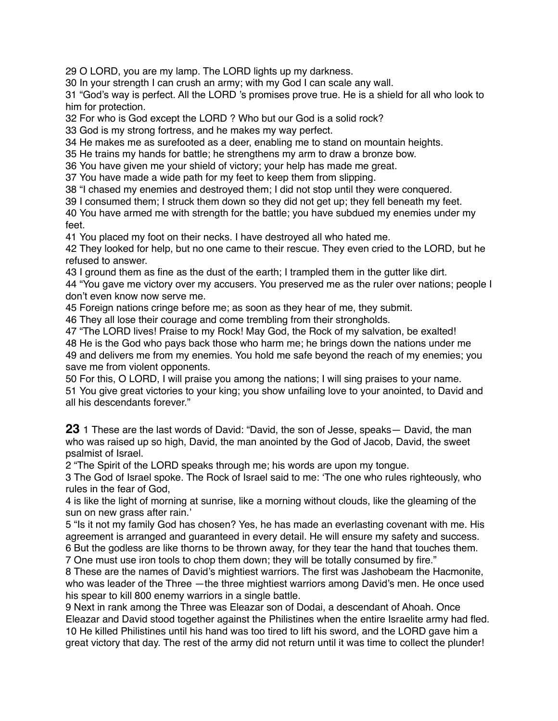O LORD, you are my lamp. The LORD lights up my darkness.

In your strength I can crush an army; with my God I can scale any wall.

 "God's way is perfect. All the LORD 's promises prove true. He is a shield for all who look to him for protection.

For who is God except the LORD ? Who but our God is a solid rock?

God is my strong fortress, and he makes my way perfect.

He makes me as surefooted as a deer, enabling me to stand on mountain heights.

He trains my hands for battle; he strengthens my arm to draw a bronze bow.

You have given me your shield of victory; your help has made me great.

You have made a wide path for my feet to keep them from slipping.

"I chased my enemies and destroyed them; I did not stop until they were conquered.

I consumed them; I struck them down so they did not get up; they fell beneath my feet.

 You have armed me with strength for the battle; you have subdued my enemies under my feet.

You placed my foot on their necks. I have destroyed all who hated me.

 They looked for help, but no one came to their rescue. They even cried to the LORD, but he refused to answer.

I ground them as fine as the dust of the earth; I trampled them in the gutter like dirt.

 "You gave me victory over my accusers. You preserved me as the ruler over nations; people I don't even know now serve me.

Foreign nations cringe before me; as soon as they hear of me, they submit.

They all lose their courage and come trembling from their strongholds.

 "The LORD lives! Praise to my Rock! May God, the Rock of my salvation, be exalted! He is the God who pays back those who harm me; he brings down the nations under me and delivers me from my enemies. You hold me safe beyond the reach of my enemies; you save me from violent opponents.

 For this, O LORD, I will praise you among the nations; I will sing praises to your name. You give great victories to your king; you show unfailing love to your anointed, to David and all his descendants forever."

1 These are the last words of David: "David, the son of Jesse, speaks— David, the man who was raised up so high, David, the man anointed by the God of Jacob, David, the sweet psalmist of Israel.

"The Spirit of the LORD speaks through me; his words are upon my tongue.

 The God of Israel spoke. The Rock of Israel said to me: 'The one who rules righteously, who rules in the fear of God,

 is like the light of morning at sunrise, like a morning without clouds, like the gleaming of the sun on new grass after rain.'

 "Is it not my family God has chosen? Yes, he has made an everlasting covenant with me. His agreement is arranged and guaranteed in every detail. He will ensure my safety and success. But the godless are like thorns to be thrown away, for they tear the hand that touches them.

One must use iron tools to chop them down; they will be totally consumed by fire."

 These are the names of David's mightiest warriors. The first was Jashobeam the Hacmonite, who was leader of the Three —the three mightiest warriors among David's men. He once used his spear to kill 800 enemy warriors in a single battle.

 Next in rank among the Three was Eleazar son of Dodai, a descendant of Ahoah. Once Eleazar and David stood together against the Philistines when the entire Israelite army had fled. He killed Philistines until his hand was too tired to lift his sword, and the LORD gave him a great victory that day. The rest of the army did not return until it was time to collect the plunder!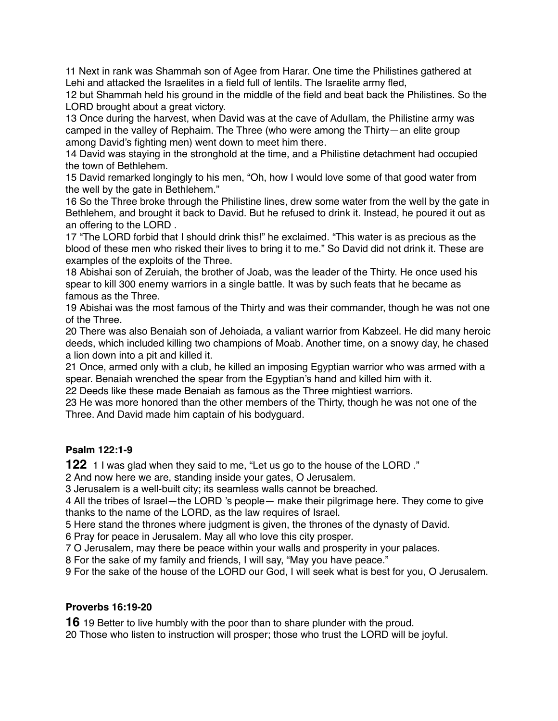11 Next in rank was Shammah son of Agee from Harar. One time the Philistines gathered at Lehi and attacked the Israelites in a field full of lentils. The Israelite army fled,

12 but Shammah held his ground in the middle of the field and beat back the Philistines. So the LORD brought about a great victory.

13 Once during the harvest, when David was at the cave of Adullam, the Philistine army was camped in the valley of Rephaim. The Three (who were among the Thirty—an elite group among David's fighting men) went down to meet him there.

14 David was staying in the stronghold at the time, and a Philistine detachment had occupied the town of Bethlehem.

15 David remarked longingly to his men, "Oh, how I would love some of that good water from the well by the gate in Bethlehem."

16 So the Three broke through the Philistine lines, drew some water from the well by the gate in Bethlehem, and brought it back to David. But he refused to drink it. Instead, he poured it out as an offering to the LORD .

17 "The LORD forbid that I should drink this!" he exclaimed. "This water is as precious as the blood of these men who risked their lives to bring it to me." So David did not drink it. These are examples of the exploits of the Three.

18 Abishai son of Zeruiah, the brother of Joab, was the leader of the Thirty. He once used his spear to kill 300 enemy warriors in a single battle. It was by such feats that he became as famous as the Three.

19 Abishai was the most famous of the Thirty and was their commander, though he was not one of the Three.

20 There was also Benaiah son of Jehoiada, a valiant warrior from Kabzeel. He did many heroic deeds, which included killing two champions of Moab. Another time, on a snowy day, he chased a lion down into a pit and killed it.

21 Once, armed only with a club, he killed an imposing Egyptian warrior who was armed with a spear. Benaiah wrenched the spear from the Egyptian's hand and killed him with it.

22 Deeds like these made Benaiah as famous as the Three mightiest warriors.

23 He was more honored than the other members of the Thirty, though he was not one of the Three. And David made him captain of his bodyguard.

### **Psalm 122:1-9**

**122** 1 I was glad when they said to me, "Let us go to the house of the LORD ."

2 And now here we are, standing inside your gates, O Jerusalem.

3 Jerusalem is a well-built city; its seamless walls cannot be breached.

4 All the tribes of Israel—the LORD 's people— make their pilgrimage here. They come to give thanks to the name of the LORD, as the law requires of Israel.

5 Here stand the thrones where judgment is given, the thrones of the dynasty of David.

6 Pray for peace in Jerusalem. May all who love this city prosper.

7 O Jerusalem, may there be peace within your walls and prosperity in your palaces.

8 For the sake of my family and friends, I will say, "May you have peace."

9 For the sake of the house of the LORD our God, I will seek what is best for you, O Jerusalem.

# **Proverbs 16:19-20**

**16** 19 Better to live humbly with the poor than to share plunder with the proud.

20 Those who listen to instruction will prosper; those who trust the LORD will be joyful.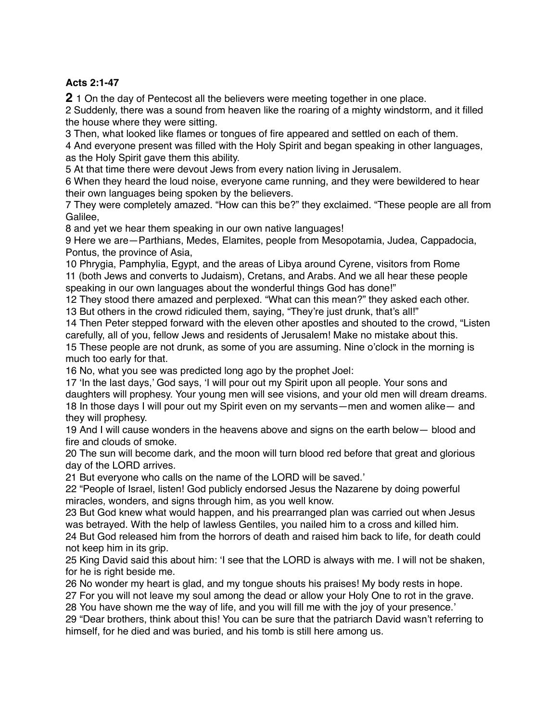# **Acts 2:1-47**

1 On the day of Pentecost all the believers were meeting together in one place.

 Suddenly, there was a sound from heaven like the roaring of a mighty windstorm, and it filled the house where they were sitting.

Then, what looked like flames or tongues of fire appeared and settled on each of them.

 And everyone present was filled with the Holy Spirit and began speaking in other languages, as the Holy Spirit gave them this ability.

At that time there were devout Jews from every nation living in Jerusalem.

 When they heard the loud noise, everyone came running, and they were bewildered to hear their own languages being spoken by the believers.

 They were completely amazed. "How can this be?" they exclaimed. "These people are all from Galilee,

and yet we hear them speaking in our own native languages!

 Here we are—Parthians, Medes, Elamites, people from Mesopotamia, Judea, Cappadocia, Pontus, the province of Asia,

 Phrygia, Pamphylia, Egypt, and the areas of Libya around Cyrene, visitors from Rome (both Jews and converts to Judaism), Cretans, and Arabs. And we all hear these people speaking in our own languages about the wonderful things God has done!"

 They stood there amazed and perplexed. "What can this mean?" they asked each other. But others in the crowd ridiculed them, saying, "They're just drunk, that's all!"

 Then Peter stepped forward with the eleven other apostles and shouted to the crowd, "Listen carefully, all of you, fellow Jews and residents of Jerusalem! Make no mistake about this.

 These people are not drunk, as some of you are assuming. Nine o'clock in the morning is much too early for that.

No, what you see was predicted long ago by the prophet Joel:

 'In the last days,' God says, 'I will pour out my Spirit upon all people. Your sons and daughters will prophesy. Your young men will see visions, and your old men will dream dreams. In those days I will pour out my Spirit even on my servants—men and women alike— and they will prophesy.

 And I will cause wonders in the heavens above and signs on the earth below— blood and fire and clouds of smoke.

 The sun will become dark, and the moon will turn blood red before that great and glorious day of the LORD arrives.

But everyone who calls on the name of the LORD will be saved.'

 "People of Israel, listen! God publicly endorsed Jesus the Nazarene by doing powerful miracles, wonders, and signs through him, as you well know.

 But God knew what would happen, and his prearranged plan was carried out when Jesus was betrayed. With the help of lawless Gentiles, you nailed him to a cross and killed him. But God released him from the horrors of death and raised him back to life, for death could

not keep him in its grip.

 King David said this about him: 'I see that the LORD is always with me. I will not be shaken, for he is right beside me.

No wonder my heart is glad, and my tongue shouts his praises! My body rests in hope.

For you will not leave my soul among the dead or allow your Holy One to rot in the grave.

You have shown me the way of life, and you will fill me with the joy of your presence.'

 "Dear brothers, think about this! You can be sure that the patriarch David wasn't referring to himself, for he died and was buried, and his tomb is still here among us.